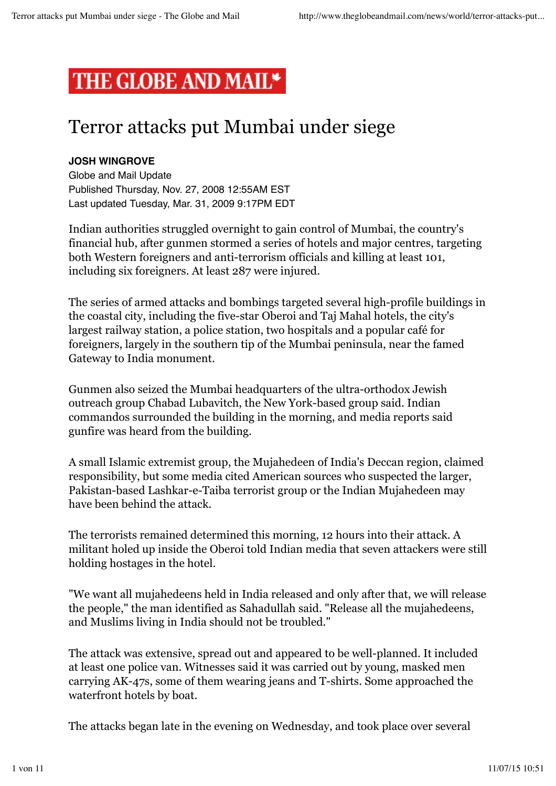

## Terror attacks put Mumbai under siege

## **JOSH WINGROVE**

Globe and Mail Update Published Thursday, Nov. 27, 2008 12:55AM EST Last updated Tuesday, Mar. 31, 2009 9:17PM EDT

Indian authorities struggled overnight to gain control of Mumbai, the country's financial hub, after gunmen stormed a series of hotels and major centres, targeting both Western foreigners and anti-terrorism officials and killing at least 101, including six foreigners. At least 287 were injured.

The series of armed attacks and bombings targeted several high-profile buildings in the coastal city, including the five-star Oberoi and Taj Mahal hotels, the city's largest railway station, a police station, two hospitals and a popular café for foreigners, largely in the southern tip of the Mumbai peninsula, near the famed Gateway to India monument.

Gunmen also seized the Mumbai headquarters of the ultra-orthodox Jewish outreach group Chabad Lubavitch, the New York-based group said. Indian commandos surrounded the building in the morning, and media reports said gunfire was heard from the building.

A small Islamic extremist group, the Mujahedeen of India's Deccan region, claimed responsibility, but some media cited American sources who suspected the larger, Pakistan-based Lashkar-e-Taiba terrorist group or the Indian Mujahedeen may have been behind the attack.

The terrorists remained determined this morning, 12 hours into their attack. A militant holed up inside the Oberoi told Indian media that seven attackers were still holding hostages in the hotel.

"We want all mujahedeens held in India released and only after that, we will release the people," the man identified as Sahadullah said. "Release all the mujahedeens, and Muslims living in India should not be troubled."

The attack was extensive, spread out and appeared to be well-planned. It included at least one police van. Witnesses said it was carried out by young, masked men carrying AK-47s, some of them wearing jeans and T-shirts. Some approached the waterfront hotels by boat.

The attacks began late in the evening on Wednesday, and took place over several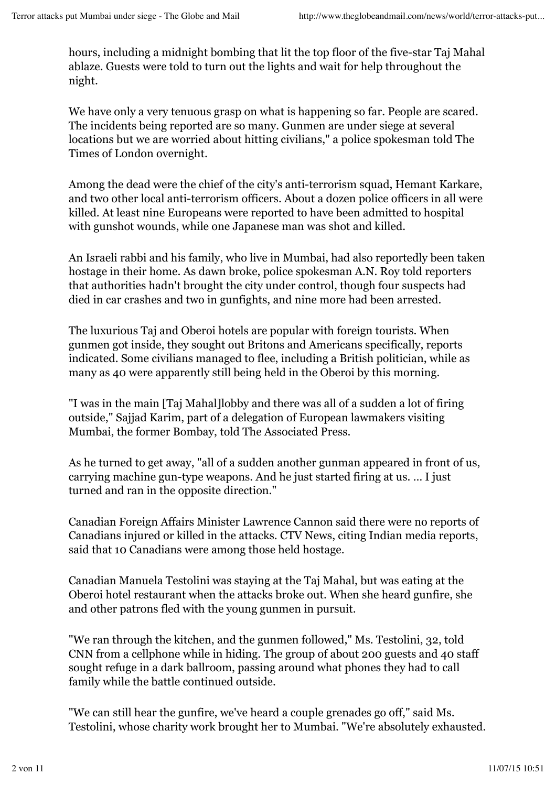hours, including a midnight bombing that lit the top floor of the five-star Taj Mahal ablaze. Guests were told to turn out the lights and wait for help throughout the night.

We have only a very tenuous grasp on what is happening so far. People are scared. The incidents being reported are so many. Gunmen are under siege at several locations but we are worried about hitting civilians," a police spokesman told The Times of London overnight.

Among the dead were the chief of the city's anti-terrorism squad, Hemant Karkare, and two other local anti-terrorism officers. About a dozen police officers in all were killed. At least nine Europeans were reported to have been admitted to hospital with gunshot wounds, while one Japanese man was shot and killed.

An Israeli rabbi and his family, who live in Mumbai, had also reportedly been taken hostage in their home. As dawn broke, police spokesman A.N. Roy told reporters that authorities hadn't brought the city under control, though four suspects had died in car crashes and two in gunfights, and nine more had been arrested.

The luxurious Taj and Oberoi hotels are popular with foreign tourists. When gunmen got inside, they sought out Britons and Americans specifically, reports indicated. Some civilians managed to flee, including a British politician, while as many as 40 were apparently still being held in the Oberoi by this morning.

"I was in the main [Taj Mahal]lobby and there was all of a sudden a lot of firing outside," Sajjad Karim, part of a delegation of European lawmakers visiting Mumbai, the former Bombay, told The Associated Press.

As he turned to get away, "all of a sudden another gunman appeared in front of us, carrying machine gun-type weapons. And he just started firing at us. … I just turned and ran in the opposite direction."

Canadian Foreign Affairs Minister Lawrence Cannon said there were no reports of Canadians injured or killed in the attacks. CTV News, citing Indian media reports, said that 10 Canadians were among those held hostage.

Canadian Manuela Testolini was staying at the Taj Mahal, but was eating at the Oberoi hotel restaurant when the attacks broke out. When she heard gunfire, she and other patrons fled with the young gunmen in pursuit.

"We ran through the kitchen, and the gunmen followed," Ms. Testolini, 32, told CNN from a cellphone while in hiding. The group of about 200 guests and 40 staff sought refuge in a dark ballroom, passing around what phones they had to call family while the battle continued outside.

"We can still hear the gunfire, we've heard a couple grenades go off," said Ms. Testolini, whose charity work brought her to Mumbai. "We're absolutely exhausted.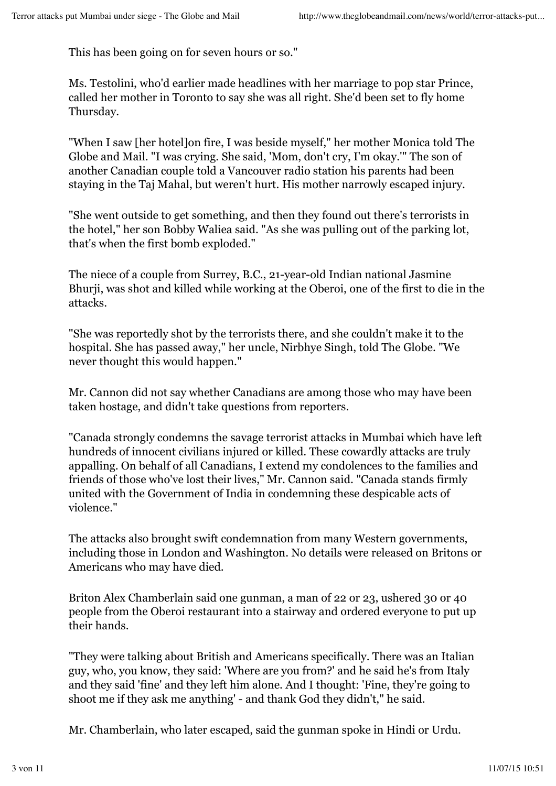This has been going on for seven hours or so."

Ms. Testolini, who'd earlier made headlines with her marriage to pop star Prince, called her mother in Toronto to say she was all right. She'd been set to fly home Thursday.

"When I saw [her hotel]on fire, I was beside myself," her mother Monica told The Globe and Mail. "I was crying. She said, 'Mom, don't cry, I'm okay.'" The son of another Canadian couple told a Vancouver radio station his parents had been staying in the Taj Mahal, but weren't hurt. His mother narrowly escaped injury.

"She went outside to get something, and then they found out there's terrorists in the hotel," her son Bobby Waliea said. "As she was pulling out of the parking lot, that's when the first bomb exploded."

The niece of a couple from Surrey, B.C., 21-year-old Indian national Jasmine Bhurji, was shot and killed while working at the Oberoi, one of the first to die in the attacks.

"She was reportedly shot by the terrorists there, and she couldn't make it to the hospital. She has passed away," her uncle, Nirbhye Singh, told The Globe. "We never thought this would happen."

Mr. Cannon did not say whether Canadians are among those who may have been taken hostage, and didn't take questions from reporters.

"Canada strongly condemns the savage terrorist attacks in Mumbai which have left hundreds of innocent civilians injured or killed. These cowardly attacks are truly appalling. On behalf of all Canadians, I extend my condolences to the families and friends of those who've lost their lives," Mr. Cannon said. "Canada stands firmly united with the Government of India in condemning these despicable acts of violence."

The attacks also brought swift condemnation from many Western governments, including those in London and Washington. No details were released on Britons or Americans who may have died.

Briton Alex Chamberlain said one gunman, a man of 22 or 23, ushered 30 or 40 people from the Oberoi restaurant into a stairway and ordered everyone to put up their hands.

"They were talking about British and Americans specifically. There was an Italian guy, who, you know, they said: 'Where are you from?' and he said he's from Italy and they said 'fine' and they left him alone. And I thought: 'Fine, they're going to shoot me if they ask me anything' - and thank God they didn't," he said.

Mr. Chamberlain, who later escaped, said the gunman spoke in Hindi or Urdu.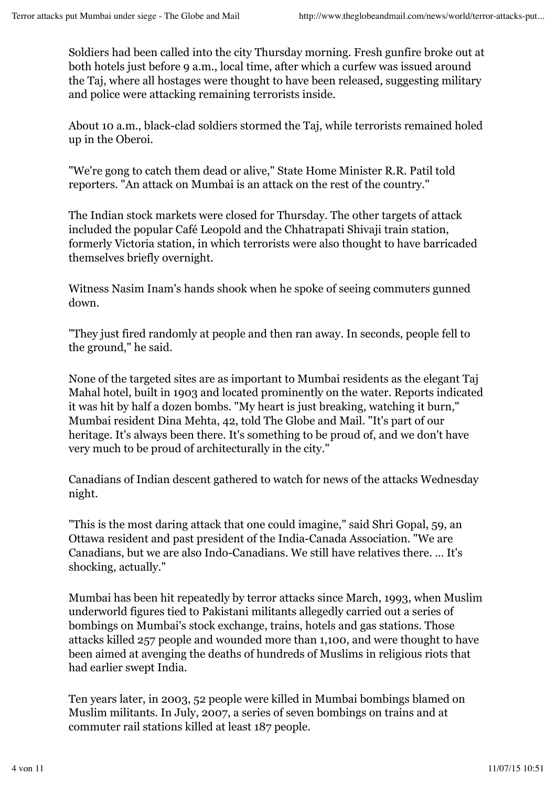Soldiers had been called into the city Thursday morning. Fresh gunfire broke out at both hotels just before 9 a.m., local time, after which a curfew was issued around the Taj, where all hostages were thought to have been released, suggesting military and police were attacking remaining terrorists inside.

About 10 a.m., black-clad soldiers stormed the Taj, while terrorists remained holed up in the Oberoi.

"We're gong to catch them dead or alive," State Home Minister R.R. Patil told reporters. "An attack on Mumbai is an attack on the rest of the country."

The Indian stock markets were closed for Thursday. The other targets of attack included the popular Café Leopold and the Chhatrapati Shivaji train station, formerly Victoria station, in which terrorists were also thought to have barricaded themselves briefly overnight.

Witness Nasim Inam's hands shook when he spoke of seeing commuters gunned down.

"They just fired randomly at people and then ran away. In seconds, people fell to the ground," he said.

None of the targeted sites are as important to Mumbai residents as the elegant Taj Mahal hotel, built in 1903 and located prominently on the water. Reports indicated it was hit by half a dozen bombs. "My heart is just breaking, watching it burn," Mumbai resident Dina Mehta, 42, told The Globe and Mail. "It's part of our heritage. It's always been there. It's something to be proud of, and we don't have very much to be proud of architecturally in the city."

Canadians of Indian descent gathered to watch for news of the attacks Wednesday night.

"This is the most daring attack that one could imagine," said Shri Gopal, 59, an Ottawa resident and past president of the India-Canada Association. "We are Canadians, but we are also Indo-Canadians. We still have relatives there. … It's shocking, actually."

Mumbai has been hit repeatedly by terror attacks since March, 1993, when Muslim underworld figures tied to Pakistani militants allegedly carried out a series of bombings on Mumbai's stock exchange, trains, hotels and gas stations. Those attacks killed 257 people and wounded more than 1,100, and were thought to have been aimed at avenging the deaths of hundreds of Muslims in religious riots that had earlier swept India.

Ten years later, in 2003, 52 people were killed in Mumbai bombings blamed on Muslim militants. In July, 2007, a series of seven bombings on trains and at commuter rail stations killed at least 187 people.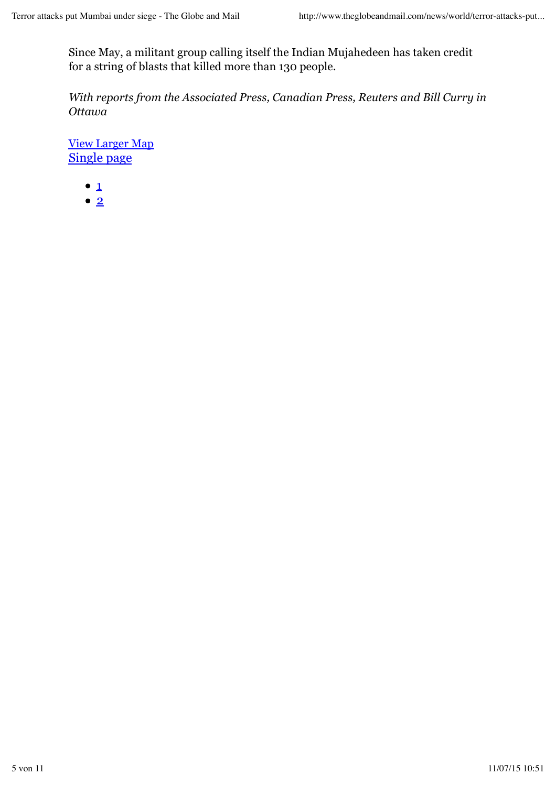Since May, a militant group calling itself the Indian Mujahedeen has taken credit for a string of blasts that killed more than 130 people.

*With reports from the Associated Press, Canadian Press, Reuters and Bill Curry in Ottawa*

View Larger Map Single page

- $\bullet$  1
- $\bullet$  2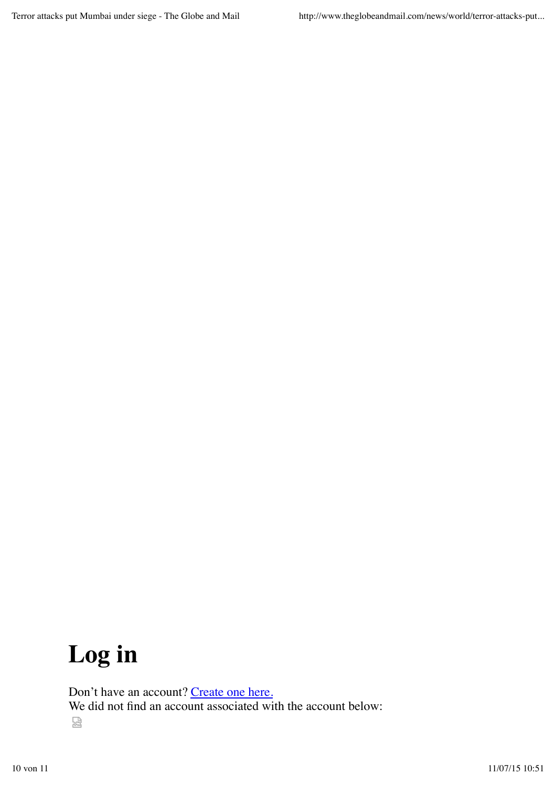## **Log in**

Don't have an account? Create one here. We did not find an account associated with the account below:

囪